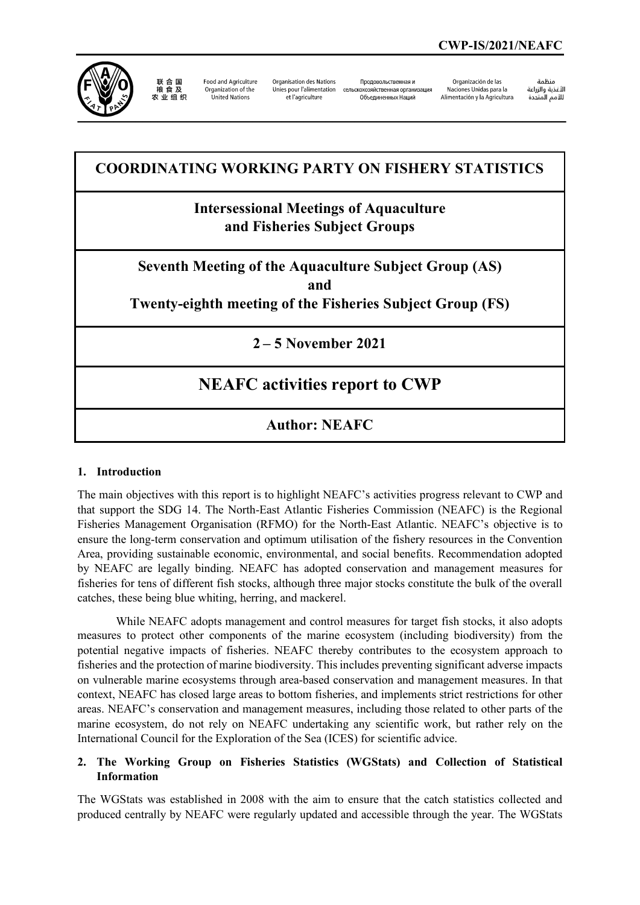

联合国<br>粮食及 农业组织

**Food and Agriculture** Organization of the **United Nations** 

**Organisation des Nations** Unies pour l'alimentation et l'agriculture

Продовольственная и сельскохозяйственная организация Объелиненных Наший

Organización de las Naciones Unidas para la Alimentación y la Agricultura

منظمة ستمنية والزراعة<br>ال*أ*غذية والزراعة 

## **COORDINATING WORKING PARTY ON FISHERY STATISTICS**

## **Intersessional Meetings of Aquaculture and Fisheries Subject Groups**

**Seventh Meeting of the Aquaculture Subject Group (AS) and** 

**Twenty-eighth meeting of the Fisheries Subject Group (FS)**

**2 – 5 November 2021** 

# **NEAFC activities report to CWP**

### **Author: NEAFC**

### **1. Introduction**

The main objectives with this report is to highlight NEAFC's activities progress relevant to CWP and that support the SDG 14. The North-East Atlantic Fisheries Commission (NEAFC) is the Regional Fisheries Management Organisation (RFMO) for the North-East Atlantic. NEAFC's objective is to ensure the long-term conservation and optimum utilisation of the fishery resources in the Convention Area, providing sustainable economic, environmental, and social benefits. Recommendation adopted by NEAFC are legally binding. NEAFC has adopted conservation and management measures for fisheries for tens of different fish stocks, although three major stocks constitute the bulk of the overall catches, these being blue whiting, herring, and mackerel.

While NEAFC adopts management and control measures for target fish stocks, it also adopts measures to protect other components of the marine ecosystem (including biodiversity) from the potential negative impacts of fisheries. NEAFC thereby contributes to the ecosystem approach to fisheries and the protection of marine biodiversity. This includes preventing significant adverse impacts on vulnerable marine ecosystems through area-based conservation and management measures. In that context, NEAFC has closed large areas to bottom fisheries, and implements strict restrictions for other areas. NEAFC's conservation and management measures, including those related to other parts of the marine ecosystem, do not rely on NEAFC undertaking any scientific work, but rather rely on the International Council for the Exploration of the Sea (ICES) for scientific advice.

### **2. The Working Group on Fisheries Statistics (WGStats) and Collection of Statistical Information**

The WGStats was established in 2008 with the aim to ensure that the catch statistics collected and produced centrally by NEAFC were regularly updated and accessible through the year. The WGStats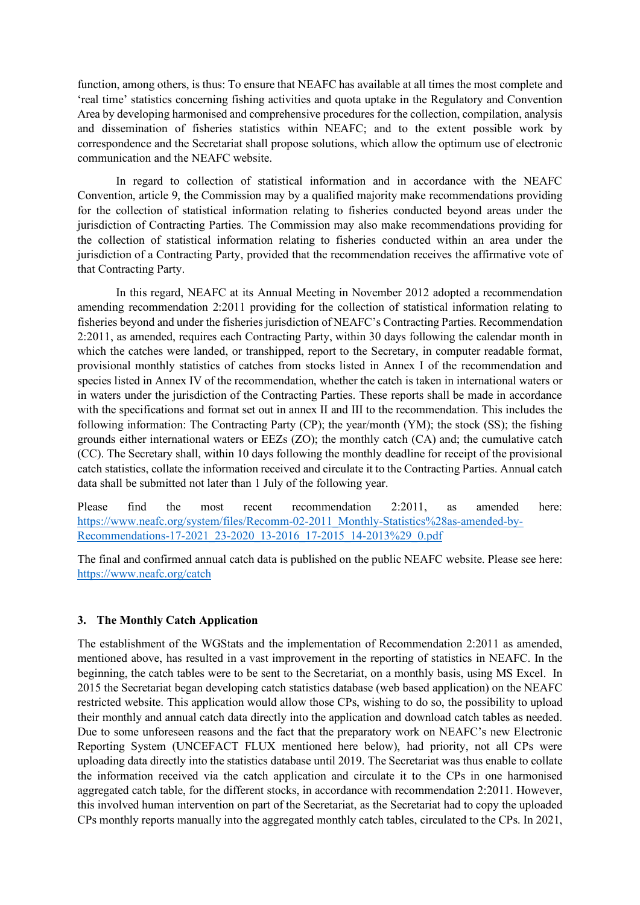function, among others, is thus: To ensure that NEAFC has available at all times the most complete and 'real time' statistics concerning fishing activities and quota uptake in the Regulatory and Convention Area by developing harmonised and comprehensive procedures for the collection, compilation, analysis and dissemination of fisheries statistics within NEAFC; and to the extent possible work by correspondence and the Secretariat shall propose solutions, which allow the optimum use of electronic communication and the NEAFC website.

In regard to collection of statistical information and in accordance with the NEAFC Convention, article 9, the Commission may by a qualified majority make recommendations providing for the collection of statistical information relating to fisheries conducted beyond areas under the jurisdiction of Contracting Parties. The Commission may also make recommendations providing for the collection of statistical information relating to fisheries conducted within an area under the jurisdiction of a Contracting Party, provided that the recommendation receives the affirmative vote of that Contracting Party.

In this regard, NEAFC at its Annual Meeting in November 2012 adopted a recommendation amending recommendation 2:2011 providing for the collection of statistical information relating to fisheries beyond and under the fisheries jurisdiction of NEAFC's Contracting Parties. Recommendation 2:2011, as amended, requires each Contracting Party, within 30 days following the calendar month in which the catches were landed, or transhipped, report to the Secretary, in computer readable format, provisional monthly statistics of catches from stocks listed in Annex I of the recommendation and species listed in Annex IV of the recommendation, whether the catch is taken in international waters or in waters under the jurisdiction of the Contracting Parties. These reports shall be made in accordance with the specifications and format set out in annex II and III to the recommendation. This includes the following information: The Contracting Party (CP); the year/month (YM); the stock (SS); the fishing grounds either international waters or EEZs (ZO); the monthly catch (CA) and; the cumulative catch (CC). The Secretary shall, within 10 days following the monthly deadline for receipt of the provisional catch statistics, collate the information received and circulate it to the Contracting Parties. Annual catch data shall be submitted not later than 1 July of the following year.

Please find the most recent recommendation 2:2011, as amended here: [https://www.neafc.org/system/files/Recomm-02-2011\\_Monthly-Statistics%28as-amended-by-](https://www.neafc.org/system/files/Recomm-02-2011_Monthly-Statistics%28as-amended-by-Recommendations-17-2021_23-2020_13-2016_17-2015_14-2013%29_0.pdf)[Recommendations-17-2021\\_23-2020\\_13-2016\\_17-2015\\_14-2013%29\\_0.pdf](https://www.neafc.org/system/files/Recomm-02-2011_Monthly-Statistics%28as-amended-by-Recommendations-17-2021_23-2020_13-2016_17-2015_14-2013%29_0.pdf)

The final and confirmed annual catch data is published on the public NEAFC website. Please see here: <https://www.neafc.org/catch>

### **3. The Monthly Catch Application**

The establishment of the WGStats and the implementation of Recommendation 2:2011 as amended, mentioned above, has resulted in a vast improvement in the reporting of statistics in NEAFC. In the beginning, the catch tables were to be sent to the Secretariat, on a monthly basis, using MS Excel. In 2015 the Secretariat began developing catch statistics database (web based application) on the NEAFC restricted website. This application would allow those CPs, wishing to do so, the possibility to upload their monthly and annual catch data directly into the application and download catch tables as needed. Due to some unforeseen reasons and the fact that the preparatory work on NEAFC's new Electronic Reporting System (UNCEFACT FLUX mentioned here below), had priority, not all CPs were uploading data directly into the statistics database until 2019. The Secretariat was thus enable to collate the information received via the catch application and circulate it to the CPs in one harmonised aggregated catch table, for the different stocks, in accordance with recommendation 2:2011. However, this involved human intervention on part of the Secretariat, as the Secretariat had to copy the uploaded CPs monthly reports manually into the aggregated monthly catch tables, circulated to the CPs. In 2021,